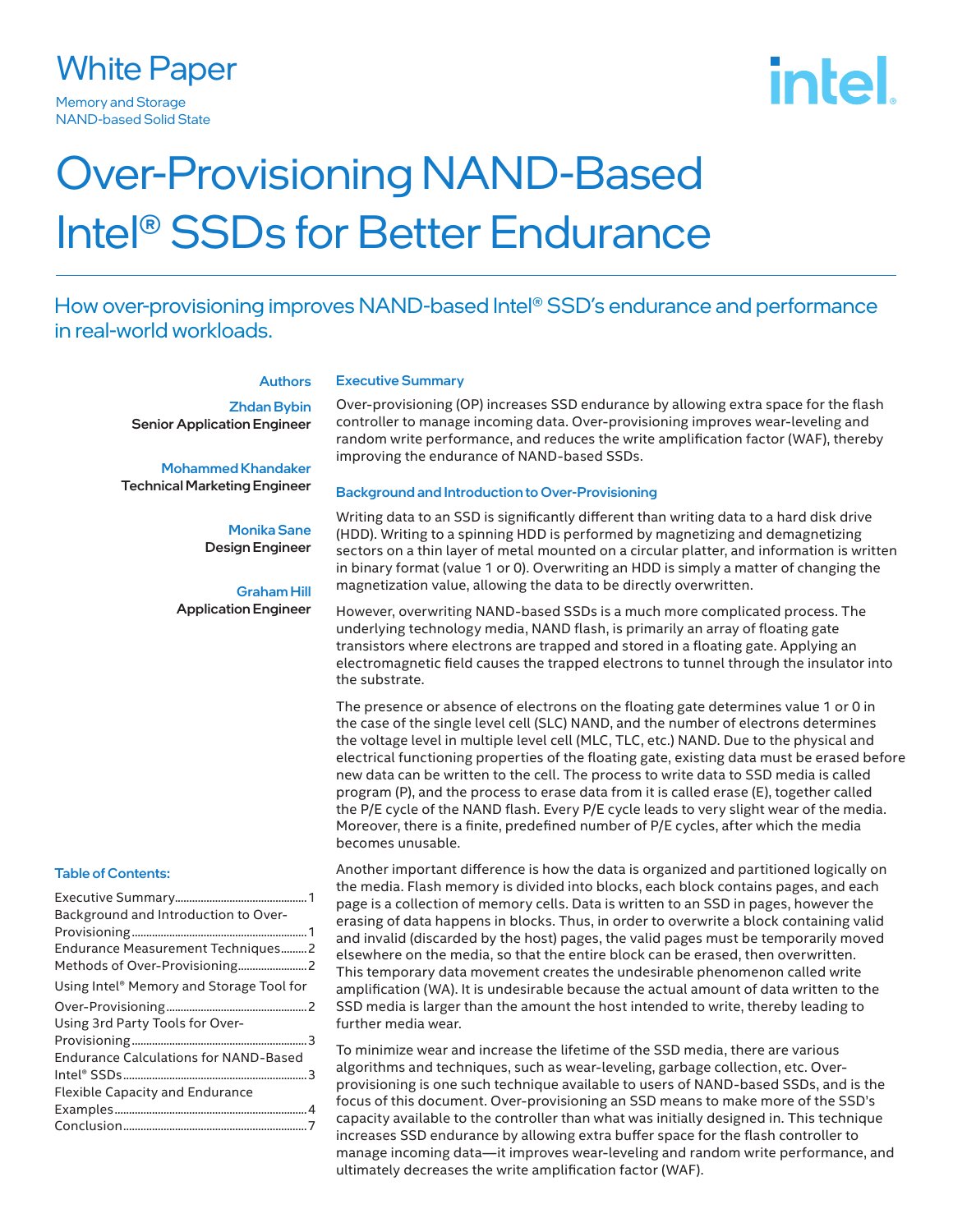### White Paper

Memory and Storage **NAND-based Solid State** 

# intel.

## Over-Provisioning NAND-Based Intel® SSDs for Better Endurance

#### How over-provisioning improves NAND-based Intel® SSD's endurance and performance in real-world workloads.

#### **Authors**

Zhdan Bybin Senior Application Engineer

Mohammed Khandaker Technical Marketing Engineer

> Monika Sane Design Engineer

Graham Hill Application Engineer

#### Table of Contents:

| Background and Introduction to Over-         |  |
|----------------------------------------------|--|
|                                              |  |
| Endurance Measurement Techniques2            |  |
|                                              |  |
| Using Intel® Memory and Storage Tool for     |  |
|                                              |  |
| Using 3rd Party Tools for Over-              |  |
|                                              |  |
| <b>Endurance Calculations for NAND-Based</b> |  |
|                                              |  |
| Flexible Capacity and Endurance              |  |
|                                              |  |
|                                              |  |
|                                              |  |

#### Executive Summary

Over-provisioning (OP) increases SSD endurance by allowing extra space for the flash controller to manage incoming data. Over-provisioning improves wear-leveling and random write performance, and reduces the write amplification factor (WAF), thereby improving the endurance of NAND-based SSDs.

#### Background and Introduction to Over-Provisioning

Writing data to an SSD is significantly different than writing data to a hard disk drive (HDD). Writing to a spinning HDD is performed by magnetizing and demagnetizing sectors on a thin layer of metal mounted on a circular platter, and information is written in binary format (value 1 or 0). Overwriting an HDD is simply a matter of changing the magnetization value, allowing the data to be directly overwritten.

However, overwriting NAND-based SSDs is a much more complicated process. The underlying technology media, NAND flash, is primarily an array of floating gate transistors where electrons are trapped and stored in a floating gate. Applying an electromagnetic field causes the trapped electrons to tunnel through the insulator into the substrate.

The presence or absence of electrons on the floating gate determines value 1 or 0 in the case of the single level cell (SLC) NAND, and the number of electrons determines the voltage level in multiple level cell (MLC, TLC, etc.) NAND. Due to the physical and electrical functioning properties of the floating gate, existing data must be erased before new data can be written to the cell. The process to write data to SSD media is called program (P), and the process to erase data from it is called erase (E), together called the P/E cycle of the NAND flash. Every P/E cycle leads to very slight wear of the media. Moreover, there is a finite, predefined number of P/E cycles, after which the media becomes unusable.

Another important difference is how the data is organized and partitioned logically on the media. Flash memory is divided into blocks, each block contains pages, and each page is a collection of memory cells. Data is written to an SSD in pages, however the erasing of data happens in blocks. Thus, in order to overwrite a block containing valid and invalid (discarded by the host) pages, the valid pages must be temporarily moved elsewhere on the media, so that the entire block can be erased, then overwritten. This temporary data movement creates the undesirable phenomenon called write amplification (WA). It is undesirable because the actual amount of data written to the SSD media is larger than the amount the host intended to write, thereby leading to further media wear.

To minimize wear and increase the lifetime of the SSD media, there are various algorithms and techniques, such as wear-leveling, garbage collection, etc. Overprovisioning is one such technique available to users of NAND-based SSDs, and is the focus of this document. Over-provisioning an SSD means to make more of the SSD's capacity available to the controller than what was initially designed in. This technique increases SSD endurance by allowing extra buffer space for the flash controller to manage incoming data—it improves wear-leveling and random write performance, and ultimately decreases the write amplification factor (WAF).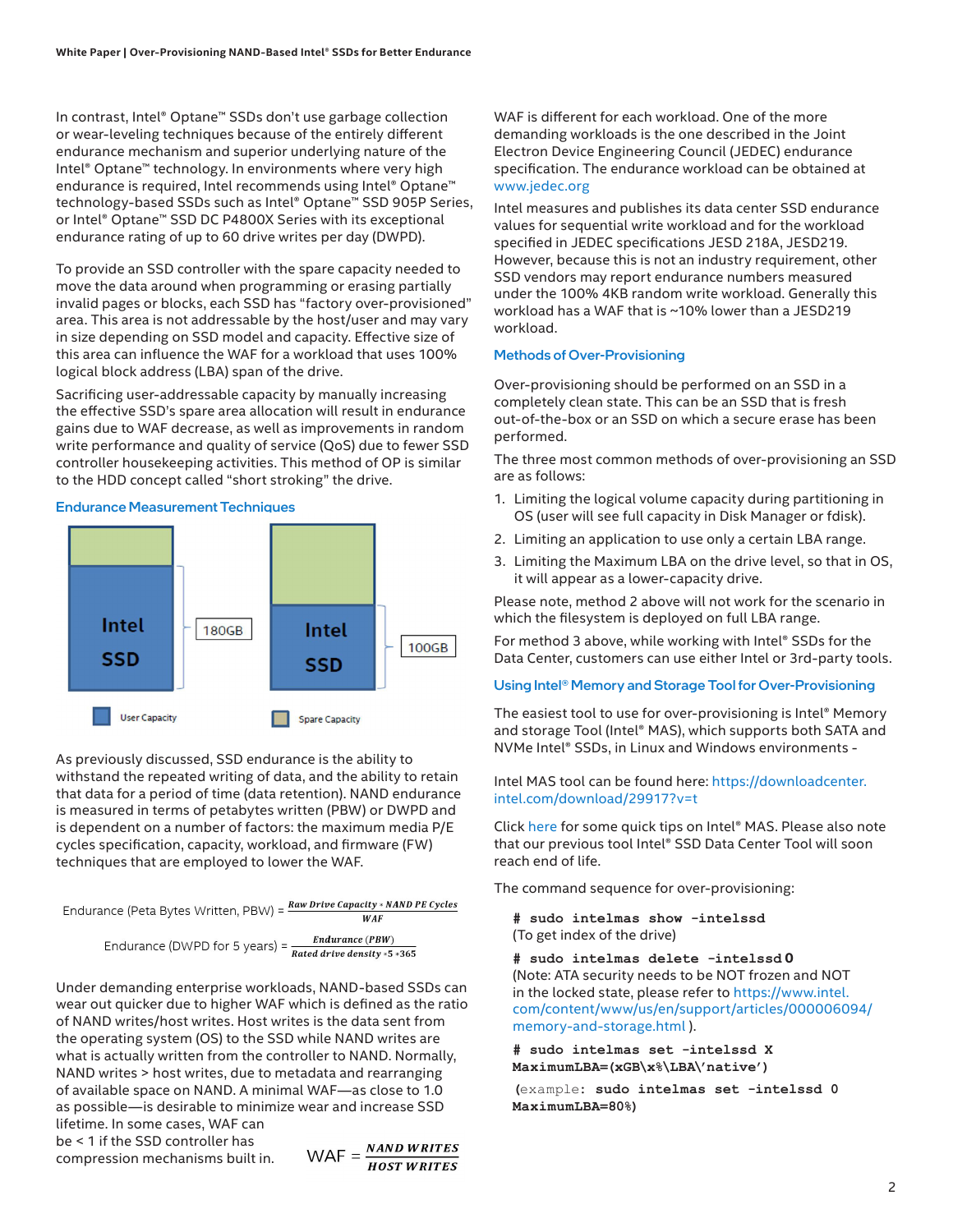In contrast, Intel® Optane™ SSDs don't use garbage collection or wear-leveling techniques because of the entirely different endurance mechanism and superior underlying nature of the Intel® Optane™ technology. In environments where very high endurance is required, Intel recommends using Intel® Optane™ technology-based SSDs such as Intel® Optane™ SSD 905P Series, or Intel® Optane™ SSD DC P4800X Series with its exceptional endurance rating of up to 60 drive writes per day (DWPD).

To provide an SSD controller with the spare capacity needed to move the data around when programming or erasing partially invalid pages or blocks, each SSD has "factory over-provisioned" area. This area is not addressable by the host/user and may vary in size depending on SSD model and capacity. Effective size of this area can influence the WAF for a workload that uses 100% logical block address (LBA) span of the drive.

Sacrificing user-addressable capacity by manually increasing the effective SSD's spare area allocation will result in endurance gains due to WAF decrease, as well as improvements in random write performance and quality of service (QoS) due to fewer SSD controller housekeeping activities. This method of OP is similar to the HDD concept called "short stroking" the drive.

Endurance Measurement Techniques



As previously discussed, SSD endurance is the ability to withstand the repeated writing of data, and the ability to retain that data for a period of time (data retention). NAND endurance is measured in terms of petabytes written (PBW) or DWPD and is dependent on a number of factors: the maximum media P/E cycles specification, capacity, workload, and firmware (FW) techniques that are employed to lower the WAF.

Endurance (Peta Bytes Written, PBW) =  $\frac{Raw\, Drive\, Capacity + NAND\, P}{WAF}$ 

Endurance (DWPD for 5 years) =  $\frac{Endurance(PBW)}{Rated drive density * 5 * 365}$ 

Under demanding enterprise workloads, NAND-based SSDs can wear out quicker due to higher WAF which is defined as the ratio of NAND writes/host writes. Host writes is the data sent from the operating system (OS) to the SSD while NAND writes are what is actually written from the controller to NAND. Normally, NAND writes > host writes, due to metadata and rearranging of available space on NAND. A minimal WAF—as close to 1.0 as possible—is desirable to minimize wear and increase SSD lifetime. In some cases, WAF can

be < 1 if the SSD controller has compression mechanisms built in.

$$
WAF = \frac{NAND \, WRITES}{HOST \, WRITES}
$$

WAF is different for each workload. One of the more demanding workloads is the one described in the Joint Electron Device Engineering Council (JEDEC) endurance specification. The endurance workload can be obtained at [www.jedec.org](http://www.jedec.org)

Intel measures and publishes its data center SSD endurance values for sequential write workload and for the workload specified in JEDEC specifications JESD 218A, JESD219. However, because this is not an industry requirement, other SSD vendors may report endurance numbers measured under the 100% 4KB random write workload. Generally this workload has a WAF that is ~10% lower than a JESD219 workload.

#### Methods of Over-Provisioning

Over-provisioning should be performed on an SSD in a completely clean state. This can be an SSD that is fresh out-of-the-box or an SSD on which a secure erase has been performed.

The three most common methods of over-provisioning an SSD are as follows:

- 1. Limiting the logical volume capacity during partitioning in OS (user will see full capacity in Disk Manager or fdisk).
- 2. Limiting an application to use only a certain LBA range.
- 3. Limiting the Maximum LBA on the drive level, so that in OS, it will appear as a lower-capacity drive.

Please note, method 2 above will not work for the scenario in which the filesystem is deployed on full LBA range.

For method 3 above, while working with Intel® SSDs for the Data Center, customers can use either Intel or 3rd-party tools.

#### Using Intel® Memory and Storage Tool for Over-Provisioning

The easiest tool to use for over-provisioning is Intel® Memory and storage Tool (Intel® MAS), which supports both SATA and NVMe Intel® SSDs, in Linux and Windows environments -

Intel MAS tool can be found here: https://downloadcenter. intel.com/download/29917?v=t

Click [here](https://www.intel.com/content/www/us/en/support/articles/000055927/memory-and-storage.html) for some quick tips on Intel® MAS. Please also note that our previous tool Intel® SSD Data Center Tool will soon reach end of life.

The command sequence for over-provisioning:

**# sudo intelmas show -intelssd** (To get index of the drive)

**# sudo intelmas delete -intelssd 0** (Note: ATA security needs to be NOT frozen and NOT in the locked state, please refer to [https://www.intel.](https://www.intel.com/content/www/us/en/support/articles/000006094/memory-and-storage.html) [com/content/www/us/en/support/articles/000006094/](https://www.intel.com/content/www/us/en/support/articles/000006094/memory-and-storage.html) [memory-and-storage.html](https://www.intel.com/content/www/us/en/support/articles/000006094/memory-and-storage.html) ).

**# sudo intelmas set -intelssd X MaximumLBA=(xGB\x%\LBA\'native')**

**(**example**: sudo intelmas set -intelssd 0 MaximumLBA=80%)**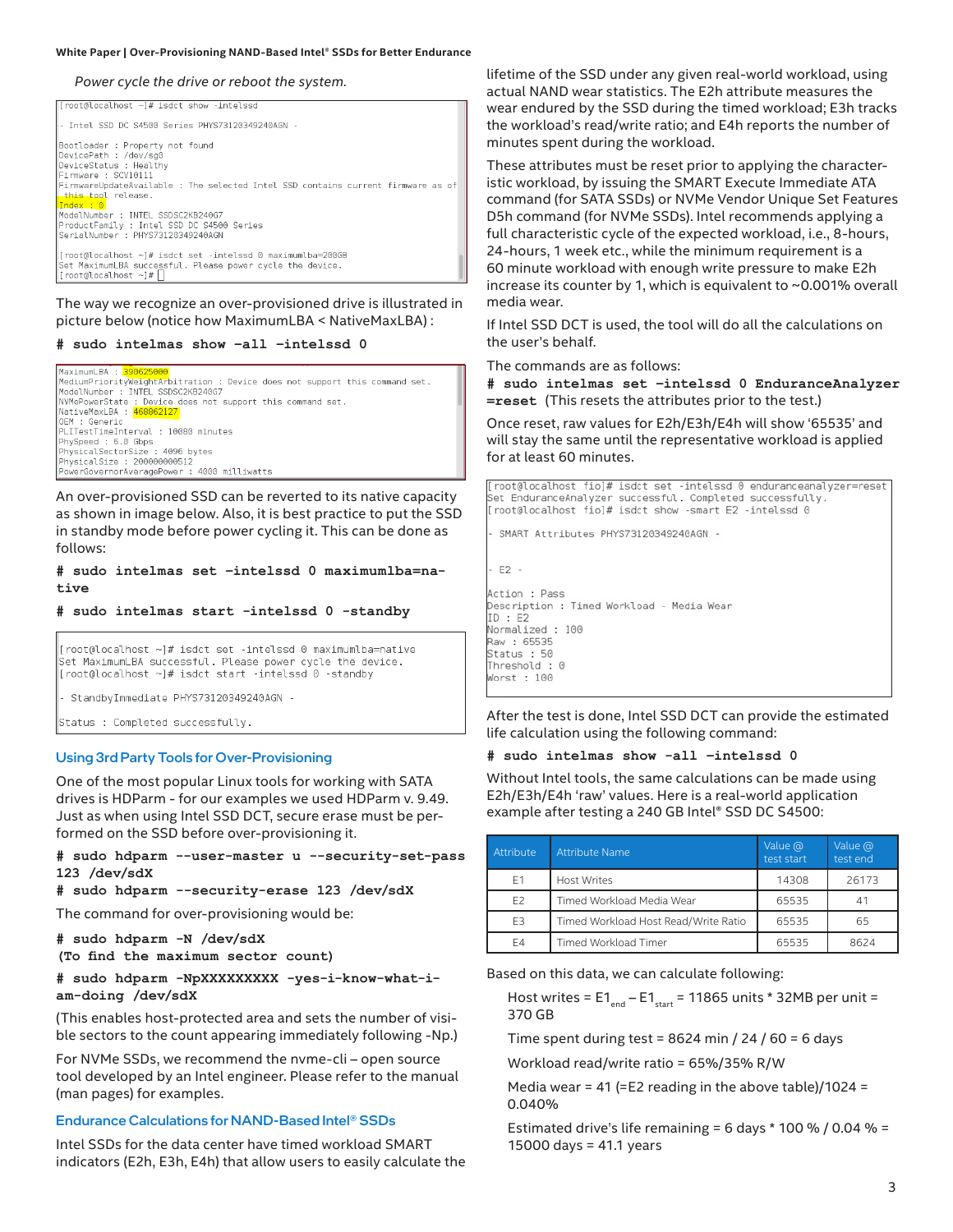#### **White Paper | Over-Provisioning NAND-Based Intel® SSDs for Better Endurance**

*Power cycle the drive or reboot the system.*

| $\int$ root@localhost ~ $\frac{1}{4}$ isdct show -intelssd                                                                                                                                                                      |
|---------------------------------------------------------------------------------------------------------------------------------------------------------------------------------------------------------------------------------|
| - Intel SSD DC S4500 Series PHYS73120349240AGN -                                                                                                                                                                                |
| Bootloader : Property not found<br>DevicePath : /dev/sq0<br>DeviceStatus : Healthy<br>Firmware : SCV10111<br>FirmwareUpdateAvailable : The selected Intel SSD contains current firmware as of<br>this tool release.<br>Index: 0 |
| ModelNumber : INTEL SSDSC2KB240G7<br>ProductFamily : Intel SSD DC S4500 Series<br>SerialNumber : PHYS73120349240AGN                                                                                                             |
| [root@localhost ~]# isdct set -intelssd 0 maximumlba=200GB<br>Set MaximumLBA successful. Please power cycle the device.<br>$ $ [root@localhost ~]# $ $                                                                          |

The way we recognize an over-provisioned drive is illustrated in picture below (notice how MaximumLBA < NativeMaxLBA) :

#### **# sudo intelmas show –all –intelssd 0**

```
Maximum BA :
MediumPriorityWeightArbitration : Device does not support this command set.
ModelNumber : INTFL SSDSC2KB240G7
NUMePowerState : Device does not support this command set.<br>NUMePowerState : Device does not support this command set.<br>NativeMaxLBA : <mark>468862127</mark>
OFM + GenericPLITestTimeInterval : 10080 minutes
PhySpeed : 6.0 Gbps<br>PhysicalSectorSize : 4096 bytes
PhysicalSize : 20000000512<br>PowerGovernorAveragePower : 4000 milliwatts
```
An over-provisioned SSD can be reverted to its native capacity as shown in image below. Also, it is best practice to put the SSD in standby mode before power cycling it. This can be done as follows:

**# sudo intelmas set –intelssd 0 maximumlba=native**

**# sudo intelmas start -intelssd 0 -standby**

[root@localhost ~]# isdct set -intelssd 0 maximumlba=native Set MaximumLBA successful. Please power cycle the device. [root@localhost ~]# isdct start -intelssd 0 -standby

StandbyImmediate PHYS73120349240AGN -

Status : Completed successfully.

#### Using 3rd Party Tools for Over-Provisioning

One of the most popular Linux tools for working with SATA drives is HDParm - for our examples we used HDParm v. 9.49. Just as when using Intel SSD DCT, secure erase must be performed on the SSD before over-provisioning it.

**# sudo hdparm --user-master u --security-set-pass 123 /dev/sdX**

#### **# sudo hdparm --security-erase 123 /dev/sdX**

The command for over-provisioning would be:

**# sudo hdparm -N /dev/sdX (To find the maximum sector count)**

**# sudo hdparm -NpXXXXXXXXX -yes-i-know-what-iam-doing /dev/sdX**

(This enables host-protected area and sets the number of visible sectors to the count appearing immediately following -Np.)

For NVMe SSDs, we recommend the nvme-cli – open source tool developed by an Intel engineer. Please refer to the manual (man pages) for examples.

#### Endurance Calculations for NAND-Based Intel® SSDs

Intel SSDs for the data center have timed workload SMART indicators (E2h, E3h, E4h) that allow users to easily calculate the lifetime of the SSD under any given real-world workload, using actual NAND wear statistics. The E2h attribute measures the wear endured by the SSD during the timed workload; E3h tracks the workload's read/write ratio; and E4h reports the number of minutes spent during the workload.

These attributes must be reset prior to applying the characteristic workload, by issuing the SMART Execute Immediate ATA command (for SATA SSDs) or NVMe Vendor Unique Set Features D5h command (for NVMe SSDs). Intel recommends applying a full characteristic cycle of the expected workload, i.e., 8-hours, 24-hours, 1 week etc., while the minimum requirement is a 60 minute workload with enough write pressure to make E2h increase its counter by 1, which is equivalent to ~0.001% overall media wear.

If Intel SSD DCT is used, the tool will do all the calculations on the user's behalf.

The commands are as follows:

**# sudo intelmas set –intelssd 0 EnduranceAnalyzer =reset** (This resets the attributes prior to the test.)

Once reset, raw values for E2h/E3h/E4h will show '65535' and will stay the same until the representative workload is applied for at least 60 minutes.

root@localhost fiol# isdct set -intelssd 0 enduranceanalyzer=reset Set EnduranceAnalyzer successful. Completed successfully. root@localhost fio]# isdct show -smart E2 -intelssd 0

SMART Attributes PHYS73120349240AGN -

 $E2 -$ 

Action : Pass Description : Timed Workload - Media Wear  $ID : E2$ Normalized : 100 Raw : 65535 Status : 50 Threshold :  $0$ Worst : 100

After the test is done, Intel SSD DCT can provide the estimated life calculation using the following command:

#### **# sudo intelmas show -all –intelssd 0**

Without Intel tools, the same calculations can be made using E2h/E3h/E4h 'raw' values. Here is a real-world application example after testing a 240 GB Intel® SSD DC S4500:

| Attribute      | <b>Attribute Name</b>                | Value @<br>test start | Value @<br>test end |
|----------------|--------------------------------------|-----------------------|---------------------|
| E1             | <b>Host Writes</b>                   | 14308                 | 26173               |
| E <sub>2</sub> | Timed Workload Media Wear            | 65535                 | 41                  |
| E <sub>3</sub> | Timed Workload Host Read/Write Ratio | 65535                 | 65                  |
| E4             | Timed Workload Timer                 | 65535                 | 8624                |

Based on this data, we can calculate following:

Host writes =  $E1_{end} - E1_{start}$  = 11865 units \* 32MB per unit = 370 GB

Time spent during test = 8624 min  $/$  24  $/$  60 = 6 days

Workload read/write ratio = 65%/35% R/W

Media wear = 41 (=E2 reading in the above table)/1024 = 0.040%

Estimated drive's life remaining = 6 days  $*$  100 % / 0.04 % = 15000 days = 41.1 years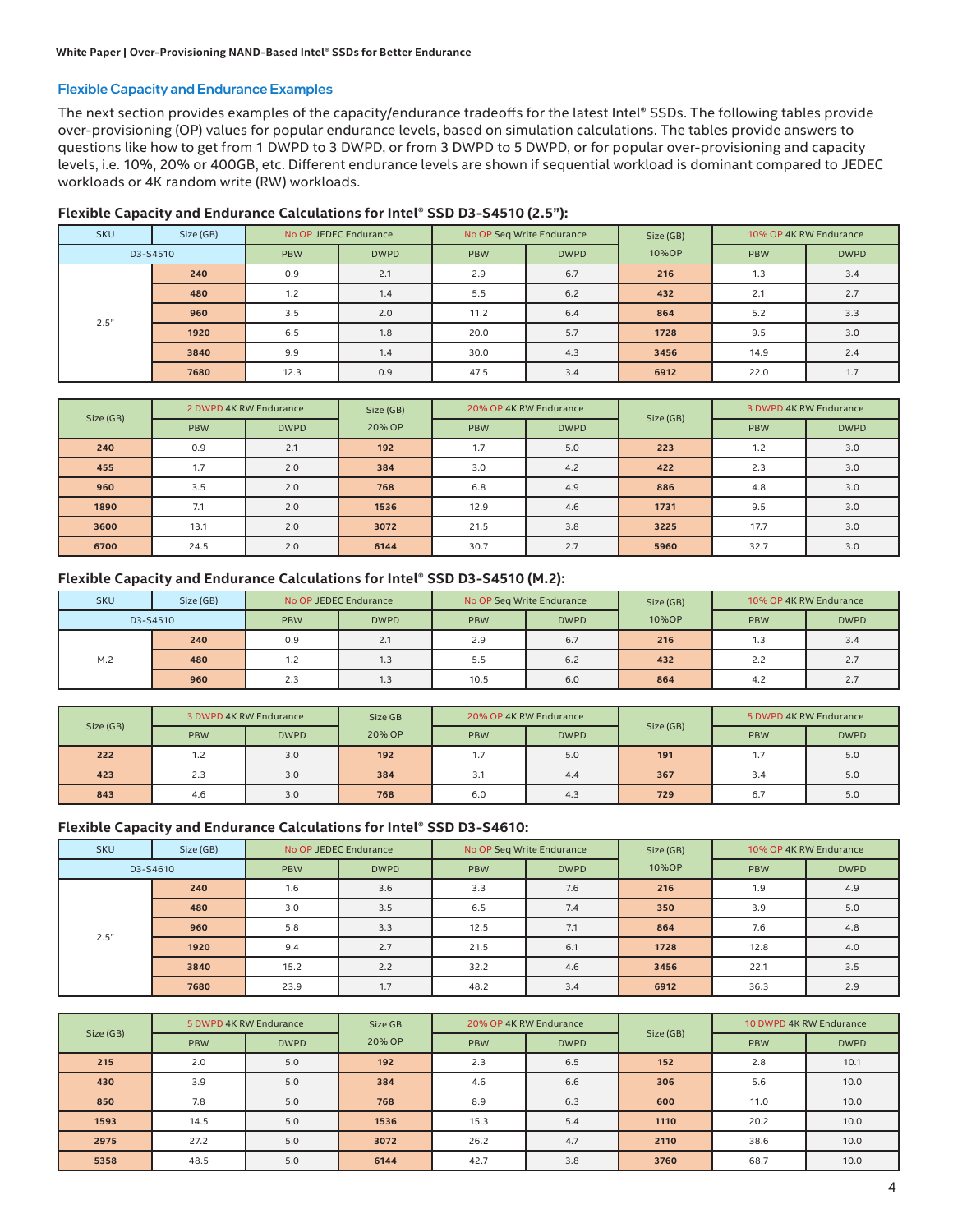#### Flexible Capacity and Endurance Examples

The next section provides examples of the capacity/endurance tradeoffs for the latest Intel® SSDs. The following tables provide over-provisioning (OP) values for popular endurance levels, based on simulation calculations. The tables provide answers to questions like how to get from 1 DWPD to 3 DWPD, or from 3 DWPD to 5 DWPD, or for popular over-provisioning and capacity levels, i.e. 10%, 20% or 400GB, etc. Different endurance levels are shown if sequential workload is dominant compared to JEDEC workloads or 4K random write (RW) workloads.

| <b>SKU</b> | Size (GB) | No OP JEDEC Endurance |             | No OP Seq Write Endurance |             | Size (GB) |            | 10% OP 4K RW Endurance |
|------------|-----------|-----------------------|-------------|---------------------------|-------------|-----------|------------|------------------------|
| D3-S4510   |           | <b>PBW</b>            | <b>DWPD</b> | <b>PBW</b>                | <b>DWPD</b> | 10%OP     | <b>PBW</b> | <b>DWPD</b>            |
|            | 240       | 0.9                   | 2.1         | 2.9                       | 6.7         | 216       | 1.3        | 3.4                    |
|            | 480       | 1.2                   | 1.4         | 5.5                       | 6.2         | 432       | 2.1        | 2.7                    |
| 2.5"       | 960       | 3.5                   | 2.0         | 11.2                      | 6.4         | 864       | 5.2        | 3.3                    |
|            | 1920      | 6.5                   | 1.8         | 20.0                      | 5.7         | 1728      | 9.5        | 3.0                    |
|            | 3840      | 9.9                   | 1.4         | 30.0                      | 4.3         | 3456      | 14.9       | 2.4                    |
|            | 7680      | 12.3                  | 0.9         | 47.5                      | 3.4         | 6912      | 22.0       | 1.7                    |

#### **Flexible Capacity and Endurance Calculations for Intel® SSD D3-S4510 (2.5"):**

|           | 2 DWPD 4K RW Endurance |             | Size (GB) |            | 20% OP 4K RW Endurance |           | 3 DWPD 4K RW Endurance |             |
|-----------|------------------------|-------------|-----------|------------|------------------------|-----------|------------------------|-------------|
| Size (GB) | <b>PBW</b>             | <b>DWPD</b> | 20% OP    | <b>PBW</b> | <b>DWPD</b>            | Size (GB) | <b>PBW</b>             | <b>DWPD</b> |
| 240       | 0.9                    | 2.1         | 192       | 1.7        | 5.0                    | 223       | 1.2                    | 3.0         |
| 455       | 1.7                    | 2.0         | 384       | 3.0        | 4.2                    | 422       | 2.3                    | 3.0         |
| 960       | 3.5                    | 2.0         | 768       | 6.8        | 4.9                    | 886       | 4.8                    | 3.0         |
| 1890      | 7.1                    | 2.0         | 1536      | 12.9       | 4.6                    | 1731      | 9.5                    | 3.0         |
| 3600      | 13.1                   | 2.0         | 3072      | 21.5       | 3.8                    | 3225      | 17.7                   | 3.0         |
| 6700      | 24.5                   | 2.0         | 6144      | 30.7       | 2.7                    | 5960      | 32.7                   | 3.0         |

#### **Flexible Capacity and Endurance Calculations for Intel® SSD D3-S4510 (M.2):**

| <b>SKU</b> | Size (GB) | No OP Seg Write Endurance<br>No OP JEDEC Endurance |             | Size (GB)  |             | 10% OP 4K RW Endurance |            |             |
|------------|-----------|----------------------------------------------------|-------------|------------|-------------|------------------------|------------|-------------|
| D3-S4510   |           | <b>PBW</b>                                         | <b>DWPD</b> | <b>PBW</b> | <b>DWPD</b> | 10%OP                  | <b>PBW</b> | <b>DWPD</b> |
|            | 240       | 0.9                                                | 2.1         | 2.9        | 6.7         | 216                    | 1.3        | 3.4         |
| M.2        | 480       |                                                    | 1.3         | 5.5        | 6.2         | 432                    | 2.2        | 2.7         |
|            | 960       | 2.3                                                | 1.3         | 10.5       | 6.0         | 864                    | 4.2        | 2.7         |

| Size (GB) | 3 DWPD 4K RW Endurance |             | Size GB |            | 20% OP 4K RW Endurance |           |            | 5 DWPD 4K RW Endurance |
|-----------|------------------------|-------------|---------|------------|------------------------|-----------|------------|------------------------|
|           | <b>PBW</b>             | <b>DWPD</b> | 20% OP  | <b>PBW</b> | <b>DWPD</b>            | Size (GB) | <b>PBW</b> | <b>DWPD</b>            |
| 222       | 1.2                    | 3.0         | 192     | 1.7        | 5.0                    | 191       | 1.7        | 5.0                    |
| 423       | 2.3                    | 3.0         | 384     | 3.1        | 4.4                    | 367       | 3.4        | 5.0                    |
| 843       | 4.6                    | 3.0         | 768     | 6.0        | 4.3                    | 729       | 6.7        | 5.0                    |

#### **Flexible Capacity and Endurance Calculations for Intel® SSD D3-S4610:**

| <b>SKU</b> | Size (GB) |            | No OP JEDEC Endurance | No OP Seq Write Endurance |             | Size (GB) |            | 10% OP 4K RW Endurance |
|------------|-----------|------------|-----------------------|---------------------------|-------------|-----------|------------|------------------------|
| D3-S4610   |           | <b>PBW</b> | <b>DWPD</b>           | <b>PBW</b>                | <b>DWPD</b> | 10%OP     | <b>PBW</b> | <b>DWPD</b>            |
|            | 240       | 1.6        | 3.6                   | 3.3                       | 7.6         | 216       | 1.9        | 4.9                    |
|            | 480       | 3.0        | 3.5                   | 6.5                       | 7.4         | 350       | 3.9        | 5.0                    |
| 2.5"       | 960       | 5.8        | 3.3                   | 12.5                      | 7.1         | 864       | 7.6        | 4.8                    |
|            | 1920      | 9.4        | 2.7                   | 21.5                      | 6.1         | 1728      | 12.8       | 4.0                    |
|            | 3840      | 15.2       | 2.2                   | 32.2                      | 4.6         | 3456      | 22.1       | 3.5                    |
|            | 7680      | 23.9       | 1.7                   | 48.2                      | 3.4         | 6912      | 36.3       | 2.9                    |

|           | 5 DWPD 4K RW Endurance |             | Size GB |            | 20% OP 4K RW Endurance |           | 10 DWPD 4K RW Endurance |             |
|-----------|------------------------|-------------|---------|------------|------------------------|-----------|-------------------------|-------------|
| Size (GB) | <b>PBW</b>             | <b>DWPD</b> | 20% OP  | <b>PBW</b> | <b>DWPD</b>            | Size (GB) | <b>PBW</b>              | <b>DWPD</b> |
| 215       | 2.0                    | 5.0         | 192     | 2.3        | 6.5                    | 152       | 2.8                     | 10.1        |
| 430       | 3.9                    | 5.0         | 384     | 4.6        | 6.6                    | 306       | 5.6                     | 10.0        |
| 850       | 7.8                    | 5.0         | 768     | 8.9        | 6.3                    | 600       | 11.0                    | 10.0        |
| 1593      | 14.5                   | 5.0         | 1536    | 15.3       | 5.4                    | 1110      | 20.2                    | 10.0        |
| 2975      | 27.2                   | 5.0         | 3072    | 26.2       | 4.7                    | 2110      | 38.6                    | 10.0        |
| 5358      | 48.5                   | 5.0         | 6144    | 42.7       | 3.8                    | 3760      | 68.7                    | 10.0        |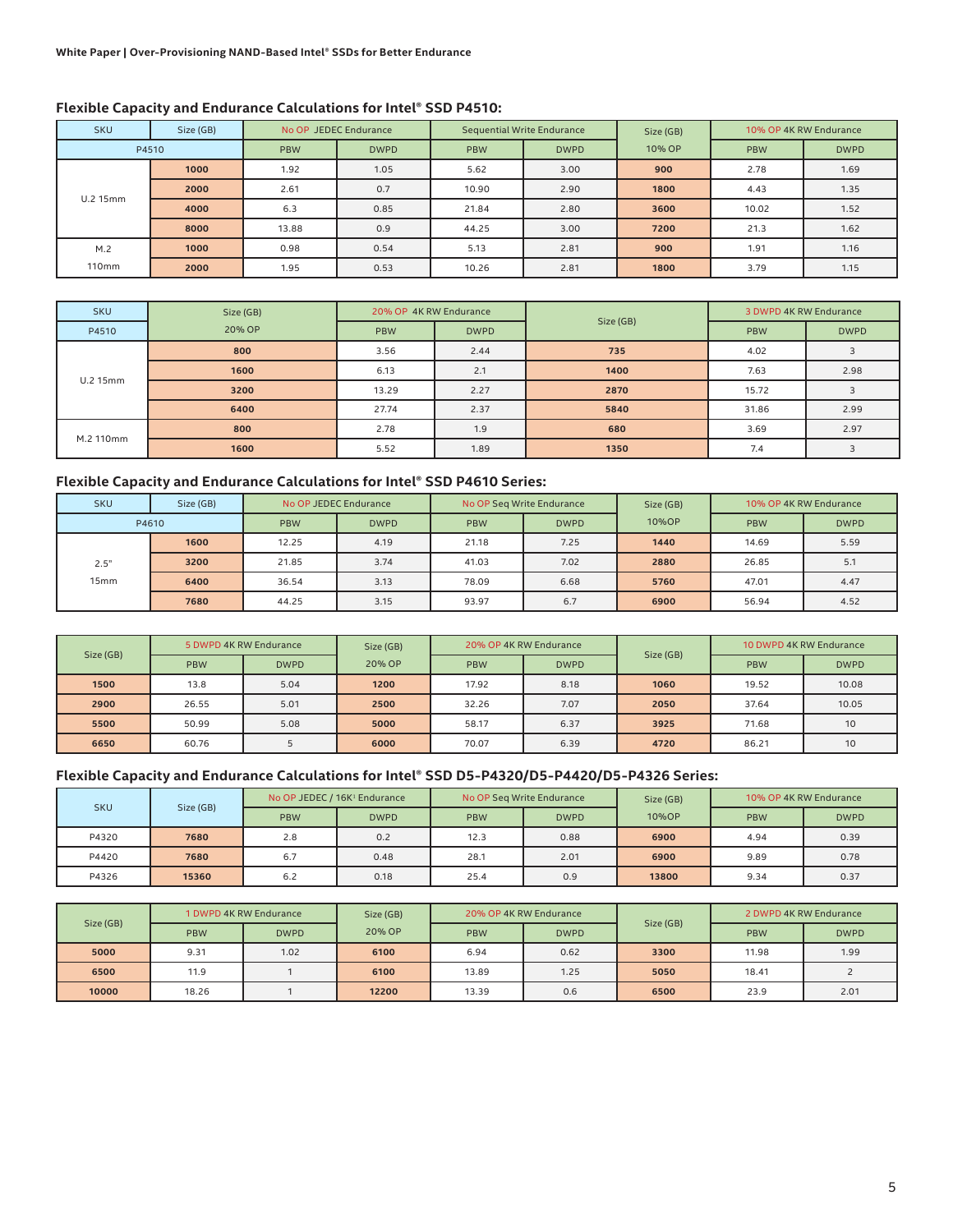| <b>SKU</b> | Size (GB) | No OP JEDEC Endurance |             | <b>Sequential Write Endurance</b> |             | Size (GB) |            | 10% OP 4K RW Endurance |
|------------|-----------|-----------------------|-------------|-----------------------------------|-------------|-----------|------------|------------------------|
| P4510      |           | <b>PBW</b>            | <b>DWPD</b> | <b>PBW</b>                        | <b>DWPD</b> | 10% OP    | <b>PBW</b> | <b>DWPD</b>            |
|            | 1000      | 1.92                  | 1.05        | 5.62                              | 3.00        | 900       | 2.78       | 1.69                   |
|            | 2000      | 2.61                  | 0.7         | 10.90                             | 2.90        | 1800      | 4.43       | 1.35                   |
| U.2 15mm   | 4000      | 6.3                   | 0.85        | 21.84                             | 2.80        | 3600      | 10.02      | 1.52                   |
|            | 8000      | 13.88                 | 0.9         | 44.25                             | 3.00        | 7200      | 21.3       | 1.62                   |
| M.2        | 1000      | 0.98                  | 0.54        | 5.13                              | 2.81        | 900       | 1.91       | 1.16                   |
| 110mm      | 2000      | 1.95                  | 0.53        | 10.26                             | 2.81        | 1800      | 3.79       | 1.15                   |

| <b>SKU</b> | Size (GB) | 20% OP 4K RW Endurance |             |           | 3 DWPD 4K RW Endurance |             |
|------------|-----------|------------------------|-------------|-----------|------------------------|-------------|
| P4510      | 20% OP    | <b>PBW</b>             | <b>DWPD</b> | Size (GB) | <b>PBW</b>             | <b>DWPD</b> |
|            | 800       | 3.56                   | 2.44        | 735       | 4.02                   |             |
|            | 1600      | 6.13                   | 2.1         | 1400      | 7.63                   | 2.98        |
| U.2 15mm   | 3200      | 13.29                  | 2.27        | 2870      | 15.72                  | 3           |
|            | 6400      | 27.74                  | 2.37        | 5840      | 31.86                  | 2.99        |
| M.2 110mm  | 800       | 2.78                   | 1.9         | 680       | 3.69                   | 2.97        |
|            | 1600      | 5.52                   | 1.89        | 1350      | 7.4                    |             |

#### **Flexible Capacity and Endurance Calculations for Intel® SSD P4610 Series:**

| <b>SKU</b>       | Size (GB) | No OP JEDEC Endurance |             |            | No OP Seg Write Endurance | Size (GB) | 10% OP 4K RW Endurance |             |
|------------------|-----------|-----------------------|-------------|------------|---------------------------|-----------|------------------------|-------------|
| P4610            |           | <b>PBW</b>            | <b>DWPD</b> | <b>PBW</b> | <b>DWPD</b>               | 10%OP     | <b>PBW</b>             | <b>DWPD</b> |
|                  | 1600      | 12.25                 | 4.19        | 21.18      | 7.25                      | 1440      | 14.69                  | 5.59        |
| 2.5"             | 3200      | 21.85                 | 3.74        | 41.03      | 7.02                      | 2880      | 26.85                  | 5.1         |
| 15 <sub>mm</sub> | 6400      | 36.54                 | 3.13        | 78.09      | 6.68                      | 5760      | 47.01                  | 4.47        |
|                  | 7680      | 44.25                 | 3.15        | 93.97      | 6.7                       | 6900      | 56.94                  | 4.52        |

|           | 5 DWPD 4K RW Endurance |             | Size (GB) |            | 20% OP 4K RW Endurance |           | 10 DWPD 4K RW Endurance |             |
|-----------|------------------------|-------------|-----------|------------|------------------------|-----------|-------------------------|-------------|
| Size (GB) | <b>PBW</b>             | <b>DWPD</b> | 20% OP    | <b>PBW</b> | <b>DWPD</b>            | Size (GB) | <b>PBW</b>              | <b>DWPD</b> |
| 1500      | 13.8                   | 5.04        | 1200      | 17.92      | 8.18                   | 1060      | 19.52                   | 10.08       |
| 2900      | 26.55                  | 5.01        | 2500      | 32.26      | 7.07                   | 2050      | 37.64                   | 10.05       |
| 5500      | 50.99                  | 5.08        | 5000      | 58.17      | 6.37                   | 3925      | 71.68                   | 10          |
| 6650      | 60.76                  |             | 6000      | 70.07      | 6.39                   | 4720      | 86.21                   | 10          |

#### **Flexible Capacity and Endurance Calculations for Intel® SSD D5-P4320/D5-P4420/D5-P4326 Series:**

| <b>SKU</b> | Size (GB) | No OP JEDEC / 16K <sup>1</sup> Endurance |             |            | No OP Seg Write Endurance | Size (GB) | 10% OP 4K RW Endurance |             |
|------------|-----------|------------------------------------------|-------------|------------|---------------------------|-----------|------------------------|-------------|
|            |           | <b>PBW</b>                               | <b>DWPD</b> | <b>PBW</b> | <b>DWPD</b>               | 10%OP     | <b>PBW</b>             | <b>DWPD</b> |
| P4320      | 7680      | 2.8                                      | 0.2         | 12.3       | 0.88                      | 6900      | 4.94                   | 0.39        |
| P4420      | 7680      | 6.7                                      | 0.48        | 28.1       | 2.01                      | 6900      | 9.89                   | 0.78        |
| P4326      | 15360     | 6.2                                      | 0.18        | 25.4       | 0.9                       | 13800     | 9.34                   | 0.37        |

|           | 1 DWPD 4K RW Endurance |             | 20% OP 4K RW Endurance<br>Size (GB) |            | Size (GB)   | 2 DWPD 4K RW Endurance |            |             |
|-----------|------------------------|-------------|-------------------------------------|------------|-------------|------------------------|------------|-------------|
| Size (GB) | <b>PBW</b>             | <b>DWPD</b> | 20% OP                              | <b>PBW</b> | <b>DWPD</b> |                        | <b>PBW</b> | <b>DWPD</b> |
| 5000      | 9.31                   | 1.02        | 6100                                | 6.94       | 0.62        | 3300                   | 11.98      | 1.99        |
| 6500      | 11.9                   |             | 6100                                | 13.89      | 1.25        | 5050                   | 18.41      |             |
| 10000     | 18.26                  |             | 12200                               | 13.39      | 0.6         | 6500                   | 23.9       | 2.01        |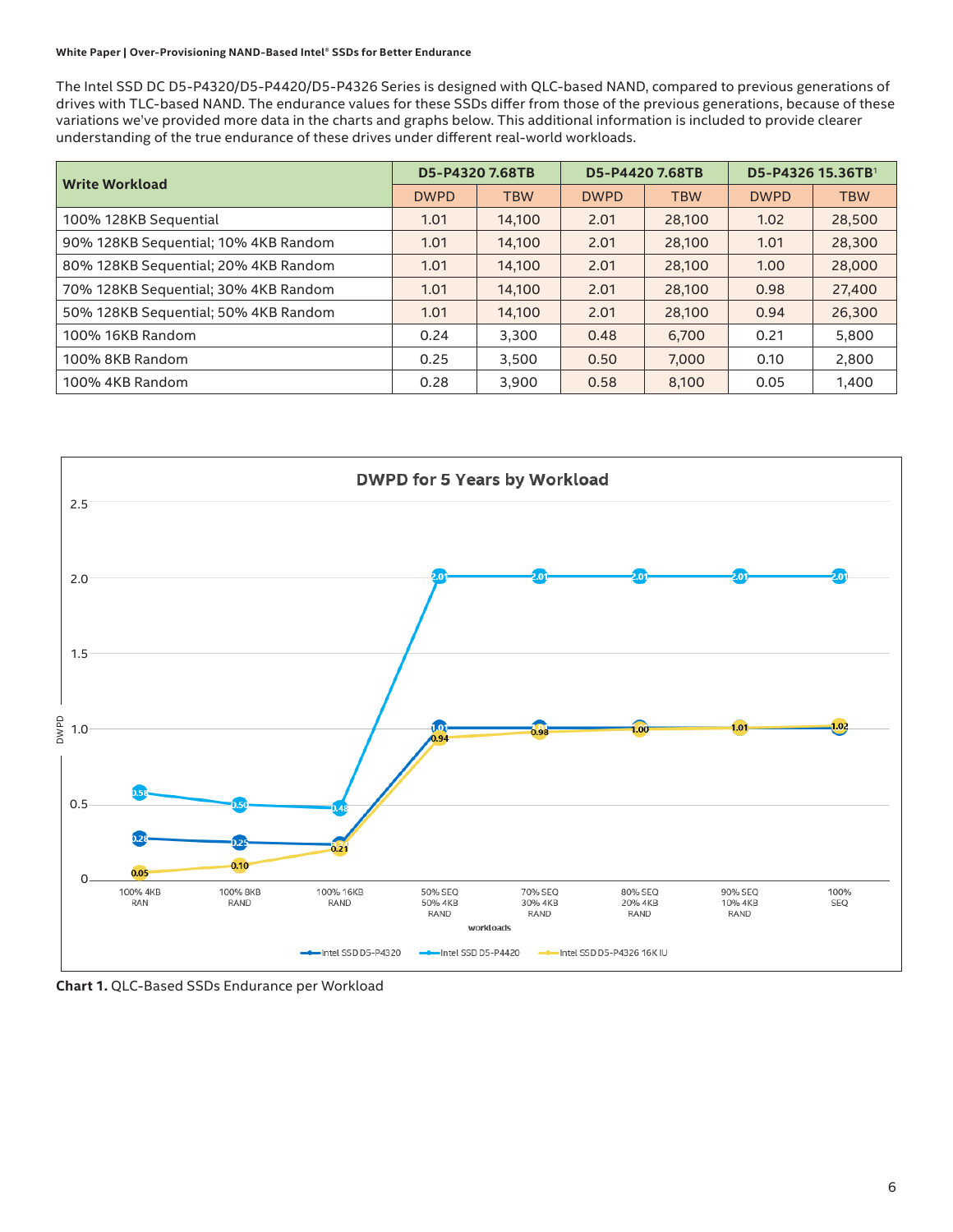#### **White Paper | Over-Provisioning NAND-Based Intel® SSDs for Better Endurance**

The Intel SSD DC D5-P4320/D5-P4420/D5-P4326 Series is designed with QLC-based NAND, compared to previous generations of drives with TLC-based NAND. The endurance values for these SSDs differ from those of the previous generations, because of these variations we've provided more data in the charts and graphs below. This additional information is included to provide clearer understanding of the true endurance of these drives under different real-world workloads.

| <b>Write Workload</b>                |             | D5-P4320 7.68TB | D5-P4420 7.68TB |            | D5-P4326 15.36TB <sup>1</sup> |            |
|--------------------------------------|-------------|-----------------|-----------------|------------|-------------------------------|------------|
|                                      | <b>DWPD</b> | <b>TBW</b>      | <b>DWPD</b>     | <b>TBW</b> | <b>DWPD</b>                   | <b>TBW</b> |
| 100% 128KB Sequential                | 1.01        | 14,100          | 2.01            | 28,100     | 1.02                          | 28,500     |
| 90% 128KB Sequential; 10% 4KB Random | 1.01        | 14.100          | 2.01            | 28,100     | 1.01                          | 28,300     |
| 80% 128KB Sequential; 20% 4KB Random | 1.01        | 14,100          | 2.01            | 28,100     | 1.00                          | 28,000     |
| 70% 128KB Sequential; 30% 4KB Random | 1.01        | 14.100          | 2.01            | 28,100     | 0.98                          | 27,400     |
| 50% 128KB Sequential; 50% 4KB Random | 1.01        | 14,100          | 2.01            | 28,100     | 0.94                          | 26,300     |
| 100% 16KB Random                     | 0.24        | 3,300           | 0.48            | 6,700      | 0.21                          | 5,800      |
| 100% 8KB Random                      | 0.25        | 3.500           | 0.50            | 7,000      | 0.10                          | 2,800      |
| 100% 4KB Random                      | 0.28        | 3,900           | 0.58            | 8,100      | 0.05                          | 1,400      |



**Chart 1.** QLC-Based SSDs Endurance per Workload